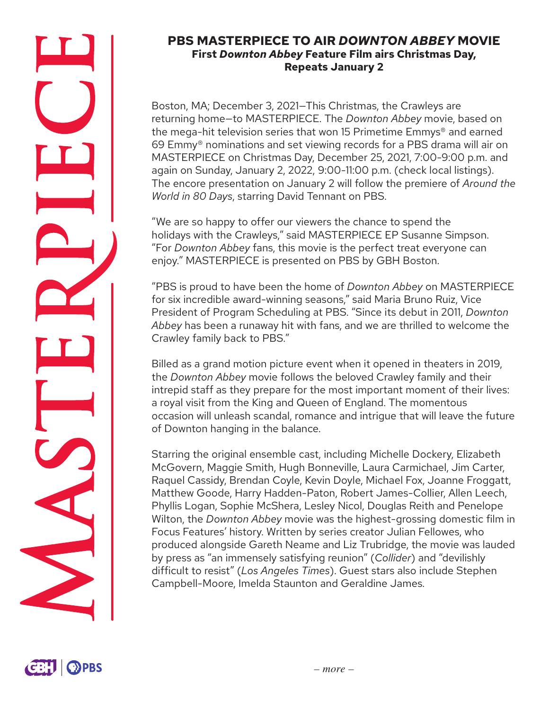### **PBS MASTERPIECE TO AIR** *DOWNTON ABBEY* **MOVIE First** *Downton Abbey* **Feature Film airs Christmas Day, Repeats January 2**

Boston, MA; December 3, 2021—This Christmas, the Crawleys are returning home—to MASTERPIECE. The *Downton Abbey* movie, based on the mega-hit television series that won 15 Primetime Emmys® and earned 69 Emmy® nominations and set viewing records for a PBS drama will air on MASTERPIECE on Christmas Day, December 25, 2021, 7:00-9:00 p.m. and again on Sunday, January 2, 2022, 9:00-11:00 p.m. (check local listings). The encore presentation on January 2 will follow the premiere of *Around the World in 80 Days*, starring David Tennant on PBS.

"We are so happy to offer our viewers the chance to spend the holidays with the Crawleys," said MASTERPIECE EP Susanne Simpson. "For *Downton Abbey* fans, this movie is the perfect treat everyone can enjoy." MASTERPIECE is presented on PBS by GBH Boston.

"PBS is proud to have been the home of *Downton Abbey* on MASTERPIECE for six incredible award-winning seasons," said Maria Bruno Ruiz, Vice President of Program Scheduling at PBS. "Since its debut in 2011, *Downton Abbey* has been a runaway hit with fans, and we are thrilled to welcome the Crawley family back to PBS."

Billed as a grand motion picture event when it opened in theaters in 2019, the *Downton Abbey* movie follows the beloved Crawley family and their intrepid staff as they prepare for the most important moment of their lives: a royal visit from the King and Queen of England. The momentous occasion will unleash scandal, romance and intrigue that will leave the future of Downton hanging in the balance.

Starring the original ensemble cast, including Michelle Dockery, Elizabeth McGovern, Maggie Smith, Hugh Bonneville, Laura Carmichael, Jim Carter, Raquel Cassidy, Brendan Coyle, Kevin Doyle, Michael Fox, Joanne Froggatt, Matthew Goode, Harry Hadden-Paton, Robert James-Collier, Allen Leech, Phyllis Logan, Sophie McShera, Lesley Nicol, Douglas Reith and Penelope Wilton, the *Downton Abbey* movie was the highest-grossing domestic film in Focus Features' history. Written by series creator Julian Fellowes, who produced alongside Gareth Neame and Liz Trubridge, the movie was lauded by press as "an immensely satisfying reunion" (*Collider*) and "devilishly difficult to resist" (*Los Angeles Times*). Guest stars also include Stephen Campbell-Moore, Imelda Staunton and Geraldine James.